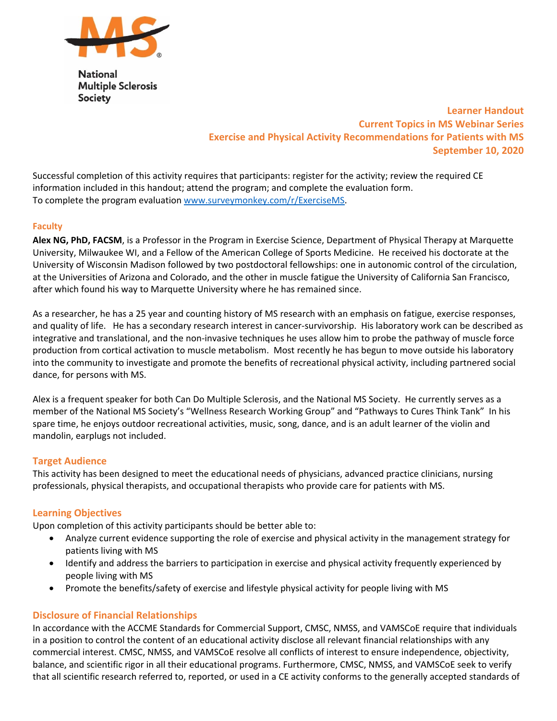

**National Multiple Sclerosis Society** 

# **Learner Handout Current Topics in MS Webinar Series Exercise and Physical Activity Recommendations for Patients with MS September 10, 2020**

Successful completion of this activity requires that participants: register for the activity; review the required CE information included in this handout; attend the program; and complete the evaluation form. To complete the program evaluation www.surveymonkey.com/r/ExerciseMS.

# **Faculty**

**Alex NG, PhD, FACSM**, is a Professor in the Program in Exercise Science, Department of Physical Therapy at Marquette University, Milwaukee WI, and a Fellow of the American College of Sports Medicine. He received his doctorate at the University of Wisconsin Madison followed by two postdoctoral fellowships: one in autonomic control of the circulation, at the Universities of Arizona and Colorado, and the other in muscle fatigue the University of California San Francisco, after which found his way to Marquette University where he has remained since.

As a researcher, he has a 25 year and counting history of MS research with an emphasis on fatigue, exercise responses, and quality of life. He has a secondary research interest in cancer‐survivorship. His laboratory work can be described as integrative and translational, and the non-invasive techniques he uses allow him to probe the pathway of muscle force production from cortical activation to muscle metabolism. Most recently he has begun to move outside his laboratory into the community to investigate and promote the benefits of recreational physical activity, including partnered social dance, for persons with MS.

Alex is a frequent speaker for both Can Do Multiple Sclerosis, and the National MS Society. He currently serves as a member of the National MS Society's "Wellness Research Working Group" and "Pathways to Cures Think Tank" In his spare time, he enjoys outdoor recreational activities, music, song, dance, and is an adult learner of the violin and mandolin, earplugs not included.

# **Target Audience**

This activity has been designed to meet the educational needs of physicians, advanced practice clinicians, nursing professionals, physical therapists, and occupational therapists who provide care for patients with MS.

# **Learning Objectives**

Upon completion of this activity participants should be better able to:

- Analyze current evidence supporting the role of exercise and physical activity in the management strategy for patients living with MS
- Identify and address the barriers to participation in exercise and physical activity frequently experienced by people living with MS
- Promote the benefits/safety of exercise and lifestyle physical activity for people living with MS

# **Disclosure of Financial Relationships**

In accordance with the ACCME Standards for Commercial Support, CMSC, NMSS, and VAMSCoE require that individuals in a position to control the content of an educational activity disclose all relevant financial relationships with any commercial interest. CMSC, NMSS, and VAMSCoE resolve all conflicts of interest to ensure independence, objectivity, balance, and scientific rigor in all their educational programs. Furthermore, CMSC, NMSS, and VAMSCoE seek to verify that all scientific research referred to, reported, or used in a CE activity conforms to the generally accepted standards of